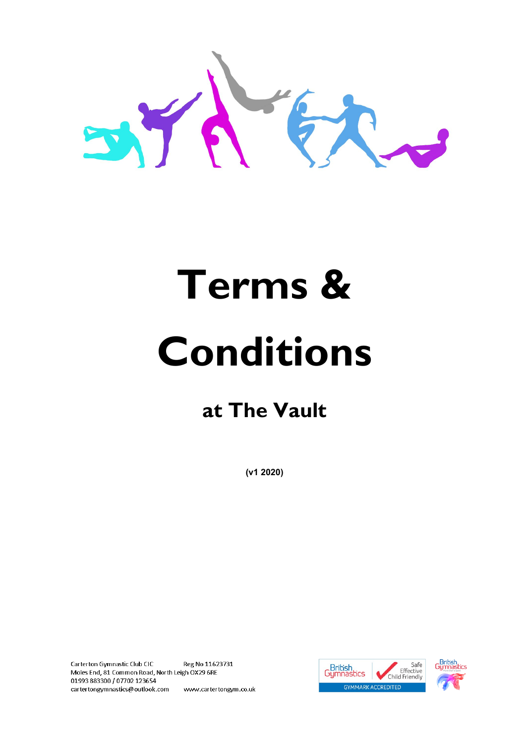

## **Terms & Conditions**

## **at The Vault**

**(v1 2020)**

Carterton Gymnastic Club CIC Reg No 11623731 Moles End, 81 Common Road, North Leigh OX29 6RE 01993883300 / 07702 123654 cartertongymnastics@outlook.com www.cartertongym.co.uk